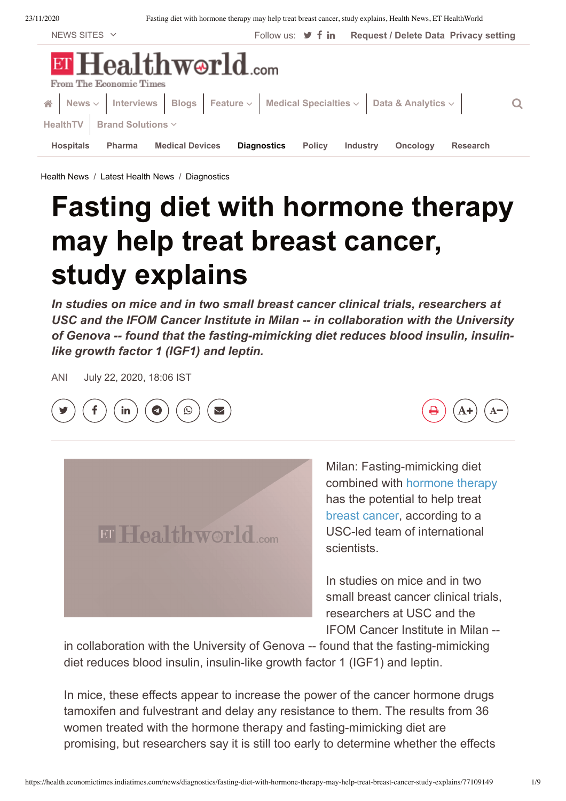Fasting diet with hormone therapy may help treat breast cancer, study explains, Health News, ET Health World

| NEWS SITES $\vee$                                                                                | Follow us: $\blacktriangleright$ f in | <b>Request / Delete Data Privacy setting</b> |                 |
|--------------------------------------------------------------------------------------------------|---------------------------------------|----------------------------------------------|-----------------|
| ET Healthworld.com<br>From The Economic Times                                                    |                                       |                                              |                 |
| A News $\vee$ Interviews Blogs Feature $\vee$ Medical Specialties $\vee$ Data & Analytics $\vee$ |                                       |                                              |                 |
| HealthTV   Brand Solutions $\vee$                                                                |                                       |                                              |                 |
| <b>Hospitals</b><br><b>Medical Devices</b><br><b>Pharma</b>                                      | <b>Diagnostics</b><br><b>Policy</b>   | <b>Industry</b><br><b>Oncology</b>           | <b>Research</b> |

Health News / Latest Health News / Diagnostics

## **Fasting diet with hormone therapy** may help treat breast cancer, study explains

In studies on mice and in two small breast cancer clinical trials, researchers at USC and the IFOM Cancer Institute in Milan -- in collaboration with the University of Genova -- found that the fasting-mimicking diet reduces blood insulin, insulinlike growth factor 1 (IGF1) and leptin.

**ANI** July 22, 2020, 18:06 IST



ET Healthworld.com

Milan: Fasting-mimicking diet combined with hormone therapy has the potential to help treat breast cancer, according to a USC-led team of international scientists

In studies on mice and in two small breast cancer clinical trials. researchers at USC and the IFOM Cancer Institute in Milan --

in collaboration with the University of Genova -- found that the fasting-mimicking diet reduces blood insulin, insulin-like growth factor 1 (IGF1) and leptin.

In mice, these effects appear to increase the power of the cancer hormone drugs tamoxifen and fulvestrant and delay any resistance to them. The results from 36 women treated with the hormone therapy and fasting-mimicking diet are promising, but researchers say it is still too early to determine whether the effects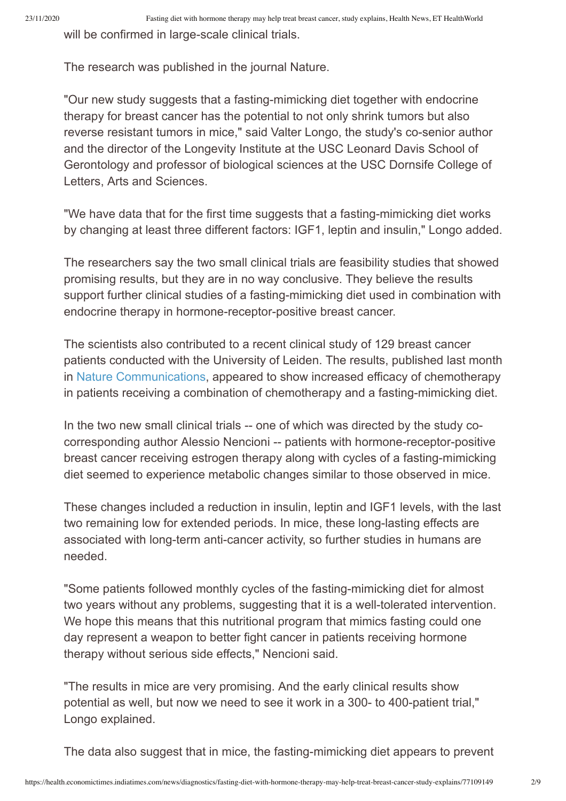will be confirmed in large-scale clinical trials.

The research was published in the journal Nature.

"Our new study suggests that a fasting-mimicking diet together with endocrine therapy for breast cancer has the potential to not only shrink tumors but also reverse resistant tumors in mice." said Valter Longo, the study's co-senior author and the director of the Longevity Institute at the USC Leonard Davis School of Gerontology and professor of biological sciences at the USC Dornsife College of Letters, Arts and Sciences.

"We have data that for the first time suggests that a fasting-mimicking diet works by changing at least three different factors: IGF1, leptin and insulin," Longo added.

The researchers say the two small clinical trials are feasibility studies that showed promising results, but they are in no way conclusive. They believe the results support further clinical studies of a fasting-mimicking diet used in combination with endocrine therapy in hormone-receptor-positive breast cancer.

The scientists also contributed to a recent clinical study of 129 breast cancer patients conducted with the University of Leiden. The results, published last month in Nature Communications, appeared to show increased efficacy of chemotherapy in patients receiving a combination of chemotherapy and a fasting-mimicking diet.

In the two new small clinical trials -- one of which was directed by the study cocorresponding author Alessio Nencioni -- patients with hormone-receptor-positive breast cancer receiving estrogen therapy along with cycles of a fasting-mimicking diet seemed to experience metabolic changes similar to those observed in mice.

These changes included a reduction in insulin, leptin and IGF1 levels, with the last two remaining low for extended periods. In mice, these long-lasting effects are associated with long-term anti-cancer activity, so further studies in humans are needed.

"Some patients followed monthly cycles of the fasting-mimicking diet for almost two years without any problems, suggesting that it is a well-tolerated intervention. We hope this means that this nutritional program that mimics fasting could one day represent a weapon to better fight cancer in patients receiving hormone therapy without serious side effects," Nencioni said.

"The results in mice are very promising. And the early clinical results show potential as well, but now we need to see it work in a 300- to 400-patient trial." Longo explained.

The data also suggest that in mice, the fasting-mimicking diet appears to prevent